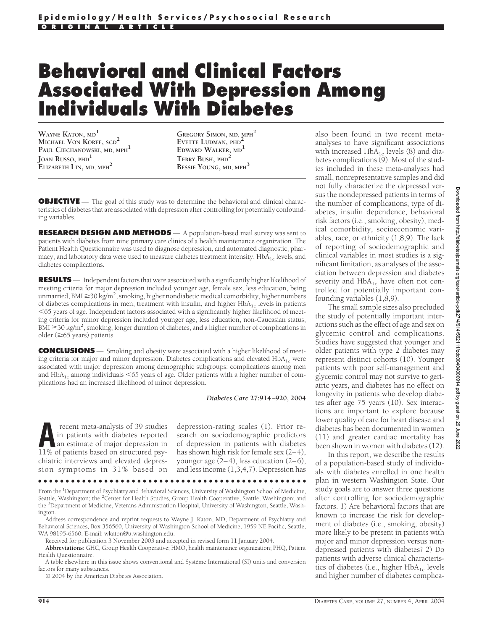# **Behavioral and Clinical Factors Associated With Depression Among Individuals With Diabetes**

**WAYNE KATON, MD<sup>1</sup> MICHAEL VON KORFF, SCD<sup>2</sup> PAUL CIECHANOWSKI, MD, MPH<sup>1</sup> JOAN RUSSO, PHD<sup>1</sup> ELIZABETH LIN, MD, MPH<sup>2</sup>**

**GREGORY SIMON, MD, MPH<sup>2</sup> EVETTE LUDMAN, PHD<sup>2</sup> EDWARD WALKER, MD<sup>1</sup> TERRY BUSH, PHD<sup>2</sup> BESSIE YOUNG, MD, MPH<sup>3</sup>**

**OBJECTIVE** — The goal of this study was to determine the behavioral and clinical characteristics of diabetes that are associated with depression after controlling for potentially confounding variables.

**RESEARCH DESIGN AND METHODS** — A population-based mail survey was sent to patients with diabetes from nine primary care clinics of a health maintenance organization. The Patient Health Questionnaire was used to diagnose depression, and automated diagnostic, pharmacy, and laboratory data were used to measure diabetes treatment intensity,  $HbA_{1c}$  levels, and diabetes complications.

**RESULTS** — Independent factors that were associated with a significantly higher likelihood of meeting criteria for major depression included younger age, female sex, less education, being unmarried, BMI  $\geq$  30 kg/m<sup>2</sup>, smoking, higher nondiabetic medical comorbidity, higher numbers of diabetes complications in men, treatment with insulin, and higher  $HbA_{1c}$  levels in patients 65 years of age. Independent factors associated with a significantly higher likelihood of meeting criteria for minor depression included younger age, less education, non-Caucasian status, BMI  $\geq$ 30 kg/m<sup>2</sup>, smoking, longer duration of diabetes, and a higher number of complications in older ( $\geq$ 65 years) patients.

**CONCLUSIONS** — Smoking and obesity were associated with a higher likelihood of meeting criteria for major and minor depression. Diabetes complications and elevated  $HbA_{1c}$  were associated with major depression among demographic subgroups: complications among men and  $HbA_{1c}$  among individuals  $< 65$  years of age. Older patients with a higher number of complications had an increased likelihood of minor depression.

*Diabetes Care* **27:914–920, 2004**

**A** recent meta-analysis of 39 studies<br>
in patients with diabetes reported<br>
an estimate of major depression in<br>
11% of patients based on structured psyin patients with diabetes reported 11% of patients based on structured psychiatric interviews and elevated depression symptoms in 31% based on

depression-rating scales (1). Prior research on sociodemographic predictors of depression in patients with diabetes has shown high risk for female sex (2–4), younger age (2–4), less education (2–6), and less income (1,3,4,7). Depression has

●●●●●●●●●●●●●●●●●●●●●●●●●●●●●●●●●●●●●●●●●●●●●●●●●

From the <sup>1</sup>Department of Psychiatry and Behavioral Sciences, University of Washington School of Medicine, Seattle, Washington; the <sup>2</sup>Center for Health Studies, Group Health Cooperative, Seattle, Washington; and the <sup>3</sup>Department of Medicine, Veterans Administration Hospital, University of Washington, Seattle, Washington.

Address correspondence and reprint requests to Wayne J. Katon, MD, Department of Psychiatry and Behavioral Sciences, Box 356560, University of Washington School of Medicine, 1959 NE Pacific, Seattle, WA 98195-6560. E-mail: wkaton@u.washington.edu.

Received for publication 3 November 2003 and accepted in revised form 11 January 2004.

**Abbreviations:** GHC, Group Health Cooperative; HMO, health maintenance organization; PHQ, Patient Health Questionnaire.

A table elsewhere in this issue shows conventional and Système International (SI) units and conversion factors for many substances.

© 2004 by the American Diabetes Association.

also been found in two recent metaanalyses to have significant associations with increased  $HbA_{1c}$  levels (8) and diabetes complications (9). Most of the studies included in these meta-analyses had small, nonrepresentative samples and did not fully characterize the depressed versus the nondepressed patients in terms of the number of complications, type of diabetes, insulin dependence, behavioral risk factors (i.e., smoking, obesity), medical comorbidity, socioeconomic variables, race, or ethnicity (1,8,9). The lack of reporting of sociodemographic and clinical variables in most studies is a significant limitation, as analyses of the association between depression and diabetes severity and  $HbA_{1c}$  have often not controlled for potentially important confounding variables (1,8,9).

The small sample sizes also precluded the study of potentially important interactions such as the effect of age and sex on glycemic control and complications. Studies have suggested that younger and older patients with type 2 diabetes may represent distinct cohorts (10). Younger patients with poor self-management and glycemic control may not survive to geriatric years, and diabetes has no effect on longevity in patients who develop diabetes after age 75 years (10). Sex interactions are important to explore because lower quality of care for heart disease and diabetes has been documented in women (11) and greater cardiac mortality has been shown in women with diabetes (12).

In this report, we describe the results of a population-based study of individuals with diabetes enrolled in one health plan in western Washington State. Our study goals are to answer three questions after controlling for sociodemographic factors. *1*) Are behavioral factors that are known to increase the risk for development of diabetes (i.e., smoking, obesity) more likely to be present in patients with major and minor depression versus nondepressed patients with diabetes? *2*) Do patients with adverse clinical characteristics of diabetes (i.e., higher  $HbA_{1c}$  levels and higher number of diabetes complica-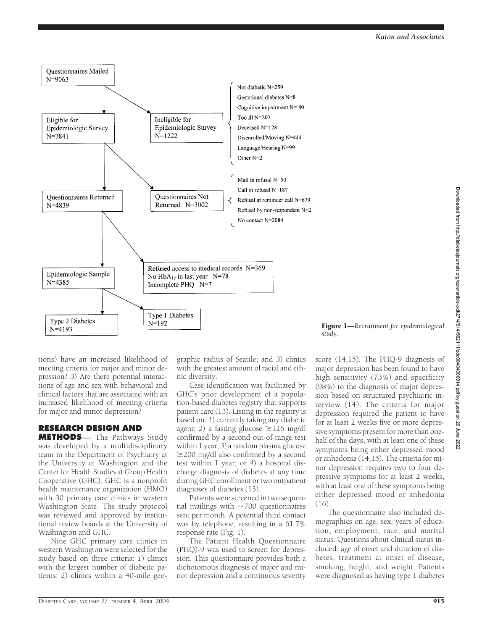

#### Figure 1—*Recruitment for epidemiological study.*

tions) have an increased likelihood of meeting criteria for major and minor depression? *3*) Are there potential interactions of age and sex with behavioral and clinical factors that are associated with an increased likelihood of meeting criteria for major and minor depression?

# **RESEARCH DESIGN AND**

**METHODS** — The Pathways Study was developed by a multidisciplinary team in the Department of Psychiatry at the University of Washington and the Center for Health Studies at Group Health Cooperative (GHC). GHC is a nonprofit health maintenance organization (HMO) with 30 primary care clinics in western Washington State. The study protocol was reviewed and approved by institutional review boards at the University of Washington and GHC.

Nine GHC primary care clinics in western Washington were selected for the study based on three criteria: *1*) clinics with the largest number of diabetic patients; *2*) clinics within a 40-mile geographic radius of Seattle; and *3*) clinics with the greatest amount of racial and ethnic diversity.

Case identification was facilitated by GHC's prior development of a population-based diabetes registry that supports patient care (13). Listing in the registry is based on: *1*) currently taking any diabetic agent; 2) a fasting glucose  $\geq$ 126 mg/dl confirmed by a second out-of-range test within 1 year; *3*) a random plasma glucose  $\geq$ 200 mg/dl also confirmed by a second test within 1 year; or *4*) a hospital discharge diagnosis of diabetes at any time during GHC enrollment or two outpatient diagnoses of diabetes (13).

Patients were screened in two sequential mailings with  $\sim$ 700 questionnaires sent per month. A potential third contact was by telephone, resulting in a 61.7% response rate (Fig. 1).

The Patient Health Questionnaire (PHQ)-9 was used to screen for depression. This questionnaire provides both a dichotomous diagnosis of major and minor depression and a continuous severity score (14,15). The PHQ-9 diagnosis of major depression has been found to have high sensitivity (73%) and specificity (98%) to the diagnosis of major depression based on structured psychiatric interview (14). The criteria for major depression required the patient to have for at least 2 weeks five or more depressive symptoms present for more than onehalf of the days, with at least one of these symptoms being either depressed mood or anhedonia (14,15). The criteria for minor depression requires two to four depressive symptoms for at least 2 weeks, with at least one of these symptoms being either depressed mood or anhedonia (16).

The questionnaire also included demographics on age, sex, years of education, employment, race, and marital status. Questions about clinical status included: age of onset and duration of diabetes, treatment at onset of disease, smoking, height, and weight. Patients were diagnosed as having type 1 diabetes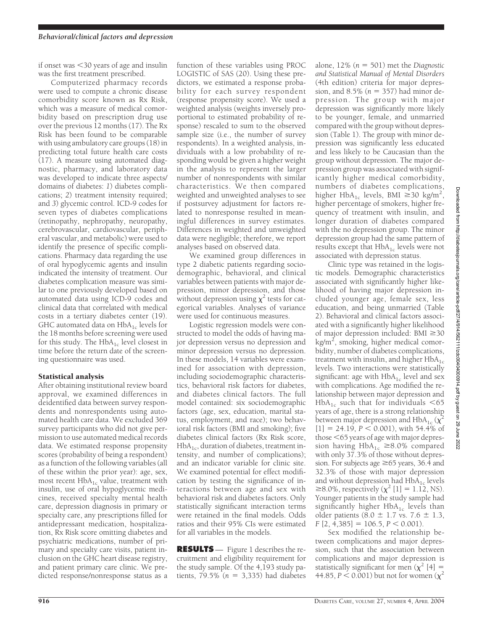if onset was 30 years of age and insulin was the first treatment prescribed.

Computerized pharmacy records were used to compute a chronic disease comorbidity score known as Rx Risk, which was a measure of medical comorbidity based on prescription drug use over the previous 12 months (17). The Rx Risk has been found to be comparable with using ambulatory care groups (18) in predicting total future health care costs (17). A measure using automated diagnostic, pharmacy, and laboratory data was developed to indicate three aspects/ domains of diabetes: *1*) diabetes complications; *2*) treatment intensity required; and *3*) glycemic control. ICD-9 codes for seven types of diabetes complications (retinopathy, nephropathy, neuropathy, cerebrovascular, cardiovascular, peripheral vascular, and metabolic) were used to identify the presence of specific complications. Pharmacy data regarding the use of oral hypoglycemic agents and insulin indicated the intensity of treatment. Our diabetes complication measure was similar to one previously developed based on automated data using ICD-9 codes and clinical data that correlated with medical costs in a tertiary diabetes center (19). GHC automated data on  $HbA_{1c}$  levels for the 18 months before screening were used for this study. The  $HbA_{1c}$  level closest in time before the return date of the screening questionnaire was used.

## Statistical analysis

After obtaining institutional review board approval, we examined differences in deidentified data between survey respondents and nonrespondents using automated health care data. We excluded 369 survey participants who did not give permission to use automated medical records data. We estimated response propensity scores (probability of being a respondent) as a function of the following variables (all of these within the prior year): age, sex, most recent  $HbA_{1c}$  value, treatment with insulin, use of oral hypoglycemic medicines, received specialty mental health care, depression diagnosis in primary or specialty care, any prescriptions filled for antidepressant medication, hospitalization, Rx Risk score omitting diabetes and psychiatric medications, number of primary and specialty care visits, patient inclusion on the GHC heart disease registry, and patient primary care clinic. We predicted response/nonresponse status as a

function of these variables using PROC LOGISTIC of SAS (20). Using these predictors, we estimated a response probability for each survey respondent (response propensity score). We used a weighted analysis (weights inversely proportional to estimated probability of response) rescaled to sum to the observed sample size (i.e., the number of survey respondents). In a weighted analysis, individuals with a low probability of responding would be given a higher weight in the analysis to represent the larger number of nonrespondents with similar characteristics. We then compared weighted and unweighted analyses to see if postsurvey adjustment for factors related to nonresponse resulted in meaningful differences in survey estimates. Differences in weighted and unweighted data were negligible; therefore, we report analyses based on observed data.

We examined group differences in type 2 diabetic patients regarding sociodemographic, behavioral, and clinical variables between patients with major depression, minor depression, and those without depression using  $\chi^2$  tests for categorical variables. Analyses of variance were used for continuous measures.

Logistic regression models were constructed to model the odds of having major depression versus no depression and minor depression versus no depression. In these models, 14 variables were examined for association with depression, including sociodemographic characteristics, behavioral risk factors for diabetes, and diabetes clinical factors. The full model contained: six sociodemographic factors (age, sex, education, marital status, employment, and race); two behavioral risk factors (BMI and smoking); five diabetes clinical factors (Rx Risk score,  $HbA_{1c}$ , duration of diabetes, treatment intensity, and number of complications); and an indicator variable for clinic site. We examined potential for effect modification by testing the significance of interactions between age and sex with behavioral risk and diabetes factors. Only statistically significant interaction terms were retained in the final models. Odds ratios and their 95% CIs were estimated for all variables in the models.

**RESULTS** — Figure 1 describes the recruitment and eligibility requirement for the study sample. Of the 4,193 study patients,  $79.5\%$  ( $n = 3,335$ ) had diabetes

alone,  $12\%$  ( $n = 501$ ) met the *Diagnostic and Statistical Manual of Mental Disorders* (4th edition) criteria for major depression, and  $8.5\%$  ( $n = 357$ ) had minor depression. The group with major depression was significantly more likely to be younger, female, and unmarried compared with the group without depression (Table 1). The group with minor depression was significantly less educated and less likely to be Caucasian than the group without depression. The major depression group was associated with significantly higher medical comorbidity, numbers of diabetes complications, higher  $HbA_{1c}$  levels, BMI  $\geq 30$  kg/m<sup>2</sup>, higher percentage of smokers, higher frequency of treatment with insulin, and longer duration of diabetes compared with the no depression group. The minor depression group had the same pattern of results except that  $HbA_{1c}$  levels were not associated with depression status.

Clinic type was retained in the logistic models. Demographic characteristics associated with significantly higher likelihood of having major depression included younger age, female sex, less education, and being unmarried (Table 2). Behavioral and clinical factors associated with a significantly higher likelihood of major depression included:  $BMI \ge 30$ kg/m<sup>2</sup>, smoking, higher medical comorbidity, number of diabetes complications, treatment with insulin, and higher  $HbA_{1c}$ levels. Two interactions were statistically significant: age with  $HbA_{1c}$  level and sex with complications. Age modified the relationship between major depression and HbA<sub>1c</sub> such that for individuals  $\leq 65$ years of age, there is a strong relationship between major depression and HbA<sub>1c</sub> ( $\chi^2$  $[1] = 24.19$ ,  $P < 0.001$ ), with 54.4% of those <65 years of age with major depression having  $HbA_{1c} \ge 8.0\%$  compared with only 37.3% of those without depression. For subjects age  $\geq 65$  years, 36.4 and 32.3% of those with major depression and without depression had  $HbA_{1c}$  levels ≥8.0%, respectively  $(\chi^2$  [1] = 1.12, NS). Younger patients in the study sample had significantly higher  $HbA_{1c}$  levels than older patients ( $8.0 \pm 1.7$  vs.  $7.6 \pm 1.3$ ,  $F$  [2, 4,385] = 106.5,  $P < 0.001$ ).

Sex modified the relationship between complications and major depression, such that the association between complications and major depression is statistically significant for men  $(\chi^2 \mid 4] =$ 44.85,  $P < 0.001$ ) but not for women ( $\chi^2$ )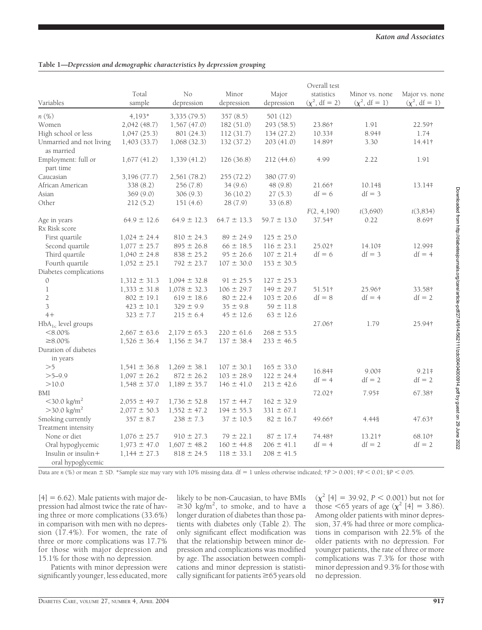### **Table 1—***Depression and demographic characteristics by depression grouping*

|                                        | Overall test     |                  |                 |                 |                    |                    |                     |  |  |
|----------------------------------------|------------------|------------------|-----------------|-----------------|--------------------|--------------------|---------------------|--|--|
|                                        | Total            | No               | Minor           | Major           | statistics         | Minor vs. none     | Major vs. none      |  |  |
| Variables                              | sample           | depression       | depression      | depression      | $(\chi^2, df = 2)$ | $(\chi^2, df = 1)$ | $(\chi^2, df = 1)$  |  |  |
| n(%)                                   | 4,193*           | 3,335(79.5)      | 357(8.5)        | 501 (12)        |                    |                    |                     |  |  |
| Women                                  | 2,042(48.7)      | 1,567(47.0)      | 182(51.0)       | 293 (58.5)      | 23.86†             | 1.91               | 22.59†              |  |  |
| High school or less                    | 1,047(25.3)      | 801 (24.3)       | 112(31.7)       | 134(27.2)       | 10.33#             | 8.94#              | 1.74                |  |  |
|                                        |                  |                  |                 |                 |                    | 3.30               |                     |  |  |
| Unmarried and not living<br>as married | 1,403(33.7)      | 1,068(32.3)      | 132(37.2)       | 203(41.0)       | 14.89†             |                    | 14.41†              |  |  |
| Employment: full or                    | 1,677(41.2)      | 1,339(41.2)      | 126(36.8)       | 212(44.6)       | 4.99               | 2.22               | 1.91                |  |  |
| part time                              |                  |                  |                 |                 |                    |                    |                     |  |  |
| Caucasian                              | 3,196 (77.7)     | 2,561 (78.2)     | 255(72.2)       | 380 (77.9)      |                    |                    |                     |  |  |
| African American                       | 338(8.2)         | 256 (7.8)        | 34(9.6)         | 48 (9.8)        | 21.66†             | 10.148             | 13.14#              |  |  |
| Asian                                  | 369(9.0)         | 306(9.3)         | 36(10.2)        | 27(5.3)         | $df = 6$           | $df = 3$           |                     |  |  |
| Other                                  | 212(5.2)         | 151(4.6)         | 28 (7.9)        | 33(6.8)         |                    |                    |                     |  |  |
|                                        |                  |                  |                 |                 | F(2, 4, 190)       | t(3,690)           | t(3,834)            |  |  |
| Age in years                           | $64.9 \pm 12.6$  | $64.9 \pm 12.3$  | $64.7 \pm 13.3$ | $59.7 \pm 13.0$ | 37.54†             | 0.22               | 8.69†               |  |  |
| Rx Risk score                          |                  |                  |                 |                 |                    |                    |                     |  |  |
| First quartile                         | $1,024 \pm 24.4$ | $810 \pm 24.3$   | $89 \pm 24.9$   | $125 \pm 25.0$  |                    |                    |                     |  |  |
| Second quartile                        | $1,077 \pm 25.7$ | $895 \pm 26.8$   | $66 \pm 18.5$   | $116 \pm 23.1$  | 25.02†             | 14.10#             | 12.99‡              |  |  |
| Third quartile                         | $1,040 \pm 24.8$ | $838 \pm 25.2$   | $95 \pm 26.6$   | $107 \pm 21.4$  | $df = 6$           | $df = 3$           | $df = 4$            |  |  |
| Fourth quartile                        | $1,052 \pm 25.1$ | $792 \pm 23.7$   | $107 \pm 30.0$  | $153 \pm 30.5$  |                    |                    |                     |  |  |
| Diabetes complications                 |                  |                  |                 |                 |                    |                    |                     |  |  |
| $\mathcal{O}$                          | $1,312 \pm 31.3$ | $1,094 \pm 32.8$ | $91 \pm 25.5$   | $127 \pm 25.3$  |                    |                    |                     |  |  |
| $\mathbf{1}$                           | $1,333 \pm 31.8$ | $1,078 \pm 32.3$ | $106 \pm 29.7$  | $149 \pm 29.7$  | 51.51†             | 25.96†             | 33.58†              |  |  |
| $\overline{2}$                         | $802 \pm 19.1$   | $619 \pm 18.6$   | $80 \pm 22.4$   | $103 \pm 20.6$  | $df = 8$           | $df = 4$           | $df = 2$            |  |  |
| 3                                      | $423 \pm 10.1$   | $329 \pm 9.9$    | $35 \pm 9.8$    | $59 \pm 11.8$   |                    |                    |                     |  |  |
| $4+$                                   | $323 \pm 7.7$    | $215 \pm 6.4$    | $45 \pm 12.6$   | $63 \pm 12.6$   |                    |                    |                     |  |  |
| $HbA_{1c}$ level groups                |                  |                  |                 |                 | 27.06†             | 1.79               | 25.94†              |  |  |
| $< 8.00\%$                             | $2,667 \pm 63.6$ | $2,179 \pm 65.3$ | $220 \pm 61.6$  | $268 \pm 53.5$  |                    |                    |                     |  |  |
| $\geq 8.00\%$                          | $1,526 \pm 36.4$ | $1,156 \pm 34.7$ | $137 \pm 38.4$  | $233 \pm 46.5$  |                    |                    |                     |  |  |
| Duration of diabetes                   |                  |                  |                 |                 |                    |                    |                     |  |  |
| in years                               |                  |                  |                 |                 |                    |                    |                     |  |  |
| >5                                     | $1,541 \pm 36.8$ | $1,269 \pm 38.1$ | $107 \pm 30.1$  | $165 \pm 33.0$  | 16.84#             | $9.00*$            |                     |  |  |
| $>5-9.9$                               | $1,097 \pm 26.2$ | $872 \pm 26.2$   | $103 \pm 28.9$  | $122 \pm 24.4$  | $df = 4$           | $df = 2$           | $9.21*$<br>$df = 2$ |  |  |
| >10.0                                  | $1,548 \pm 37.0$ | $1,189 \pm 35.7$ | $146 \pm 41.0$  | $213 \pm 42.6$  |                    |                    |                     |  |  |
| BMI                                    |                  |                  |                 |                 | 72.02†             | 7.95‡              | 67.38†              |  |  |
| $<$ 30.0 kg/m <sup>2</sup>             | $2,055 \pm 49.7$ | $1,736 \pm 52.8$ | $157 \pm 44.7$  | $162 \pm 32.9$  |                    |                    |                     |  |  |
| $>$ 30.0 kg/m <sup>2</sup>             | $2,077 \pm 50.3$ | $1,552 \pm 47.2$ | $194 \pm 55.3$  | $331 \pm 67.1$  |                    |                    |                     |  |  |
| Smoking currently                      | $357 \pm 8.7$    | $238 \pm 7.3$    | $37 \pm 10.5$   | $82 \pm 16.7$   | 49.66†             | 4.44§              | 47.63†              |  |  |
| Treatment intensity                    |                  |                  |                 |                 |                    |                    |                     |  |  |
| None or diet                           | $1,076 \pm 25.7$ | $910 \pm 27.3$   | $79 \pm 22.1$   | $87 \pm 17.4$   | 74.48†             | 13.21†             | 68.10†              |  |  |
| Oral hypoglycemic                      | $1,973 \pm 47.0$ | $1,607 \pm 48.2$ | $160 \pm 44.8$  | $206 \pm 41.1$  | $df = 4$           | $df = 2$           | $df = 2$            |  |  |
| Insulin or insulin+                    | $1,144 \pm 27.3$ | $818 \pm 24.5$   | $118 \pm 33.1$  | $208 \pm 41.5$  |                    |                    |                     |  |  |
| oral hypoglycemic                      |                  |                  |                 |                 |                    |                    |                     |  |  |

Data are *n* (%) or mean  $\pm$  SD. \*Sample size may vary with 10% missing data. df = 1 unless otherwise indicated;  $\uparrow$ P > 0.001;  $\uparrow$ P < 0.01;  $\uparrow$ P < 0.05.

 $[4] = 6.62$ ). Male patients with major depression had almost twice the rate of having three or more complications (33.6%) in comparison with men with no depression (17.4%). For women, the rate of three or more complications was 17.7% for those with major depression and 15.1% for those with no depression.

Patients with minor depression were significantly younger, less educated, more likely to be non-Caucasian, to have BMIs  $\geq$ 30 kg/m<sup>2</sup>, to smoke, and to have a longer duration of diabetes than those patients with diabetes only (Table 2). The only significant effect modification was that the relationship between minor depression and complications was modified by age. The association between complications and minor depression is statistically significant for patients  $\geq$  65 years old

 $(\chi^2$  [4] = 39.92, *P* < 0.001) but not for those  $\leq 65$  years of age ( $\chi^2$  [4] = 3.86). Among older patients with minor depression, 37.4% had three or more complications in comparison with 22.5% of the older patients with no depression. For younger patients, the rate of three or more complications was 7.3% for those with minor depression and 9.3% for those with no depression.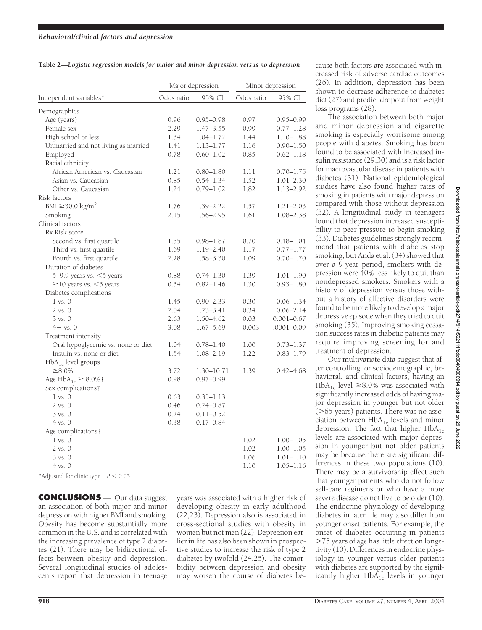| Table 2-Logistic regression models for major and minor depression versus no depression |  |  |  |
|----------------------------------------------------------------------------------------|--|--|--|
|                                                                                        |  |  |  |
|                                                                                        |  |  |  |

|                                     | Major depression |               | Minor depression |                |
|-------------------------------------|------------------|---------------|------------------|----------------|
| Independent variables*              | Odds ratio       | 95% CI        | Odds ratio       | 95% CI         |
| Demographics                        |                  |               |                  |                |
| Age (years)                         | 0.96             | 0.95–0.98     | 0.97             | $0.95 - 0.99$  |
| Female sex                          | 2.29             | $1.47 - 3.55$ | 0.99             | $0.77 - 1.28$  |
| High school or less                 | 1.34             | $1.04 - 1.72$ | 1.44             | $1.10 - 1.88$  |
| Unmarried and not living as married | 1.41             | $1.13 - 1.77$ | 1.16             | $0.90 - 1.50$  |
| Employed                            | 0.78             | $0.60 - 1.02$ | 0.85             | $0.62 - 1.18$  |
| Racial ethnicity                    |                  |               |                  |                |
| African American vs. Caucasian      | 1.21             | $0.80 - 1.80$ | 1.11             | $0.70 - 1.75$  |
| Asian vs. Caucasian                 | 0.85             | $0.54 - 1.34$ | 1.52             | $1.01 - 2.30$  |
| Other vs. Caucasian                 | 1.24             | $0.79 - 1.02$ | 1.82             | 1.13-2.92      |
| Risk factors                        |                  |               |                  |                |
| BMI $\geq$ 30.0 kg/m <sup>2</sup>   | 1.76             | 1.39-2.22     | 1.57             | $1.21 - 2.03$  |
| Smoking                             | 2.15             | 1.56-2.95     | 1.61             | 1.08-2.38      |
| Clinical factors                    |                  |               |                  |                |
| Rx Risk score                       |                  |               |                  |                |
| Second vs. first quartile           | 1.35             | $0.98 - 1.87$ | 0.70             | $0.48 - 1.04$  |
| Third vs. first quartile            | 1.69             | $1.19 - 2.40$ | 1.17             | $0.77 - 1.77$  |
| Fourth vs. first quartile           | 2.28             | 1.58-3.30     | 1.09             | $0.70 - 1.70$  |
| Duration of diabetes                |                  |               |                  |                |
| 5-9.9 years vs. $<$ 5 years         | 0.88             | $0.74 - 1.30$ | 1.39             | $1.01 - 1.90$  |
| $\geq$ 10 years vs. <5 years        | 0.54             | $0.82 - 1.46$ | 1.30             | $0.93 - 1.80$  |
| Diabetes complications              |                  |               |                  |                |
| $1$ vs. $0$                         | 1.45             | $0.90 - 2.33$ | 0.30             | $0.06 - 1.34$  |
| $2$ vs. $0$                         | 2.04             | $1.23 - 3.41$ | 0.34             | $0.06 - 2.14$  |
| $3 \text{ vs. } 0$                  | 2.63             | 1.50-4.62     | 0.03             | $0.001 - 0.67$ |
| $4+$ vs. $0$                        | 3.08             | $1.67 - 5.69$ | 0.003            | .0001–0.09     |
| Treatment intensity                 |                  |               |                  |                |
| Oral hypoglycemic vs. none or diet  | 1.04             | $0.78 - 1.40$ | 1.00             | $0.73 - 1.37$  |
| Insulin vs. none or diet            | 1.54             | 1.08-2.19     | 1.22             | $0.83 - 1.79$  |
| $HbA_{1c}$ level groups             |                  |               |                  |                |
| $\geq 8.0\%$                        | 3.72             | 1.30-10.71    | 1.39             | $0.42 - 4.68$  |
| Age $HbA_{1c} \geq 8.0\%$ †         | 0.98             | $0.97 - 0.99$ |                  |                |
| Sex complications†                  |                  |               |                  |                |
| $1 \text{ vs. } 0$                  | 0.63             | $0.35 - 1.13$ |                  |                |
| $2$ vs. $0$                         | 0.46             | $0.24 - 0.87$ |                  |                |
| $3 \text{ vs. } 0$                  | 0.24             | $0.11 - 0.52$ |                  |                |
| $4 \text{ vs. } 0$                  | 0.38             | 0.17–0.84     |                  |                |
| Age complications†                  |                  |               |                  |                |
| $1 \text{ vs. } 0$                  |                  |               | 1.02             | 1.00–1.05      |
| 2 vs. 0                             |                  |               | 1.02             | 1.00–1.05      |
| $3 \text{ vs. } 0$                  |                  |               | 1.06             | $1.01 - 1.10$  |
| $4 \text{ vs. } 0$                  |                  |               | 1.10             | $1.05 - 1.16$  |

\*Adjusted for clinic type.  $\uparrow P$  < 0.05.

**CONCLUSIONS** — Our data suggest an association of both major and minor depression with higher BMI and smoking. Obesity has become substantially more common in the U.S. and is correlated with the increasing prevalence of type 2 diabetes (21). There may be bidirectional effects between obesity and depression. Several longitudinal studies of adolescents report that depression in teenage years was associated with a higher risk of developing obesity in early adulthood (22,23). Depression also is associated in cross-sectional studies with obesity in women but not men (22). Depression earlier in life has also been shown in prospective studies to increase the risk of type 2 diabetes by twofold (24,25). The comorbidity between depression and obesity may worsen the course of diabetes be-

cause both factors are associated with increased risk of adverse cardiac outcomes (26). In addition, depression has been shown to decrease adherence to diabetes diet (27) and predict dropout from weight loss programs (28).

The association between both major and minor depression and cigarette smoking is especially worrisome among people with diabetes. Smoking has been found to be associated with increased insulin resistance (29,30) and is a risk factor for macrovascular disease in patients with diabetes (31). National epidemiological studies have also found higher rates of smoking in patients with major depression compared with those without depression (32). A longitudinal study in teenagers found that depression increased susceptibility to peer pressure to begin smoking (33). Diabetes guidelines strongly recommend that patients with diabetes stop smoking, but Anda et al. (34) showed that over a 9-year period, smokers with depression were 40% less likely to quit than nondepressed smokers. Smokers with a history of depression versus those without a history of affective disorders were found to be more likely to develop a major depressive episode when they tried to quit smoking (35). Improving smoking cessation success rates in diabetic patients may require improving screening for and treatment of depression.

Our multivariate data suggest that after controlling for sociodemographic, behavioral, and clinical factors, having an HbA<sub>1c</sub> level  $\geq$ 8.0% was associated with significantly increased odds of having major depression in younger but not older  $($ >65 years) patients. There was no association between  $HbA_{1c}$  levels and minor depression. The fact that higher  $HbA_{1c}$ levels are associated with major depression in younger but not older patients may be because there are significant differences in these two populations (10). There may be a survivorship effect such that younger patients who do not follow self-care regimens or who have a more severe disease do not live to be older (10). The endocrine physiology of developing diabetes in later life may also differ from younger onset patients. For example, the onset of diabetes occurring in patients 75 years of age has little effect on longetivity (10). Differences in endocrine physiology in younger versus older patients with diabetes are supported by the significantly higher  $HbA_{1c}$  levels in younger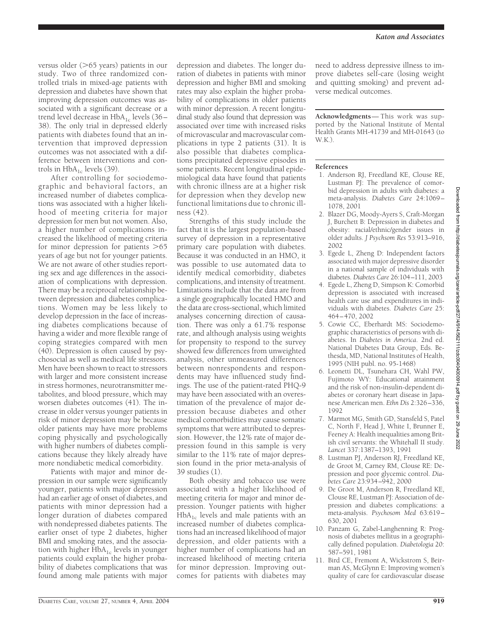versus older  $($ >65 years) patients in our study. Two of three randomized controlled trials in mixed-age patients with depression and diabetes have shown that improving depression outcomes was associated with a significant decrease or a trend level decrease in  $HbA_{1c}$  levels (36– 38). The only trial in depressed elderly patients with diabetes found that an intervention that improved depression outcomes was not associated with a difference between interventions and controls in  $HbA_{1c}$  levels (39).

After controlling for sociodemographic and behavioral factors, an increased number of diabetes complications was associated with a higher likelihood of meeting criteria for major depression for men but not women. Also, a higher number of complications increased the likelihood of meeting criteria for minor depression for patients  $>65$ years of age but not for younger patients. We are not aware of other studies reporting sex and age differences in the association of complications with depression. There may be a reciprocal relationship between depression and diabetes complications. Women may be less likely to develop depression in the face of increasing diabetes complications because of having a wider and more flexible range of coping strategies compared with men (40). Depression is often caused by psychosocial as well as medical life stressors. Men have been shown to react to stressors with larger and more consistent increase in stress hormones, neurotransmitter metabolites, and blood pressure, which may worsen diabetes outcomes (41). The increase in older versus younger patients in risk of minor depression may be because older patients may have more problems coping physically and psychologically with higher numbers of diabetes complications because they likely already have more nondiabetic medical comorbidity.

Patients with major and minor depression in our sample were significantly younger, patients with major depression had an earlier age of onset of diabetes, and patients with minor depression had a longer duration of diabetes compared with nondepressed diabetes patients. The earlier onset of type 2 diabetes, higher BMI and smoking rates, and the association with higher  $HbA_{1c}$  levels in younger patients could explain the higher probability of diabetes complications that was found among male patients with major

depression and diabetes. The longer duration of diabetes in patients with minor depression and higher BMI and smoking rates may also explain the higher probability of complications in older patients with minor depression. A recent longitudinal study also found that depression was associated over time with increased risks of microvascular and macrovascular complications in type 2 patients (31). It is also possible that diabetes complications precipitated depressive episodes in some patients. Recent longitudinal epidemiological data have found that patients with chronic illness are at a higher risk for depression when they develop new functional limitations due to chronic illness (42).

Strengths of this study include the fact that it is the largest population-based survey of depression in a representative primary care population with diabetes. Because it was conducted in an HMO, it was possible to use automated data to identify medical comorbidity, diabetes complications, and intensity of treatment. Limitations include that the data are from a single geographically located HMO and the data are cross-sectional, which limited analyses concerning direction of causation. There was only a 61.7% response rate, and although analysis using weights for propensity to respond to the survey showed few differences from unweighted analysis, other unmeasured differences between nonrespondents and respondents may have influenced study findings. The use of the patient-rated PHQ-9 may have been associated with an overestimation of the prevalence of major depression because diabetes and other medical comorbidities may cause somatic symptoms that were attributed to depression. However, the 12% rate of major depression found in this sample is very similar to the 11% rate of major depression found in the prior meta-analysis of 39 studies (1).

Both obesity and tobacco use were associated with a higher likelihood of meeting criteria for major and minor depression. Younger patients with higher  $HbA_{1c}$  levels and male patients with an increased number of diabetes complications had an increased likelihood of major depression, and older patients with a higher number of complications had an increased likelihood of meeting criteria for minor depression. Improving outcomes for patients with diabetes may

need to address depressive illness to improve diabetes self-care (losing weight and quitting smoking) and prevent adverse medical outcomes.

**Acknowledgments**— This work was supported by the National Institute of Mental Health Grants MH-41739 and MH-01643 (to  $W K$ ).

### **References**

- 1. Anderson RJ, Freedland KE, Clouse RE, Lustman PJ: The prevalence of comorbid depression in adults with diabetes: a meta-analysis. *Diabetes Care* 24:1069– 1078, 2001
- 2. Blazer DG, Moody-Ayers S, Craft-Morgan J, Burchett B: Depression in diabetes and obesity: racial/ethnic/gender issues in older adults. *J Psychsom Res* 53:913–916, 2002
- 3. Egede L, Zheng D: Independent factors associated with major depressive disorder in a national sample of individuals with diabetes. *Diabetes Care* 26:104–111, 2003
- 4. Egede L, Zheng D, Simpson K: Comorbid depression is associated with increased health care use and expenditures in individuals with diabetes. *Diabetes Care* 25: 464–470, 2002
- 5. Cowie CC, Eberhardt MS: Sociodemographic characteristics of persons with diabetes. In *Diabetes in America*. 2nd ed. National Diabetes Data Group, Eds. Bethesda, MD, National Institutes of Health, 1995 (NIH publ. no. 95-1468)
- 6. Leonetti DL, Tsunehara CH, Wahl PW, Fujimoto WY: Educational attainment and the risk of non-insulin-dependent diabetes or coronary heart disease in Japanese American men. *Ethn Dis* 2:326–336, 1992
- 7. Marmot MG, Smith GD, Stansfeld S, Patel C, North F, Head J, White I, Brunner E, Feeney A: Health inequalities among British civil servants: the Whitehall II study. *Lancet* 337:1387–1393, 1991
- 8. Lustman PJ, Anderson RJ, Freedland KE, de Groot M, Carney RM, Clouse RE: Depression and poor glycemic control. *Diabetes Care* 23:934–942, 2000
- 9. De Groot M, Anderson R, Freedland KE, Clouse RE, Lustman PJ: Association of depression and diabetes complications: a meta-analysis. *Psychosom Med* 63:619– 630, 2001
- 10. Panzam G, Zabel-Langhenning R: Prognosis of diabetes mellitus in a geographically defined population. *Diabetologia* 20: 587–591, 1981
- 11. Bird CE, Fremont A, Wickstrom S, Beirman AS, McGlynn E: Improving women's quality of care for cardiovascular disease